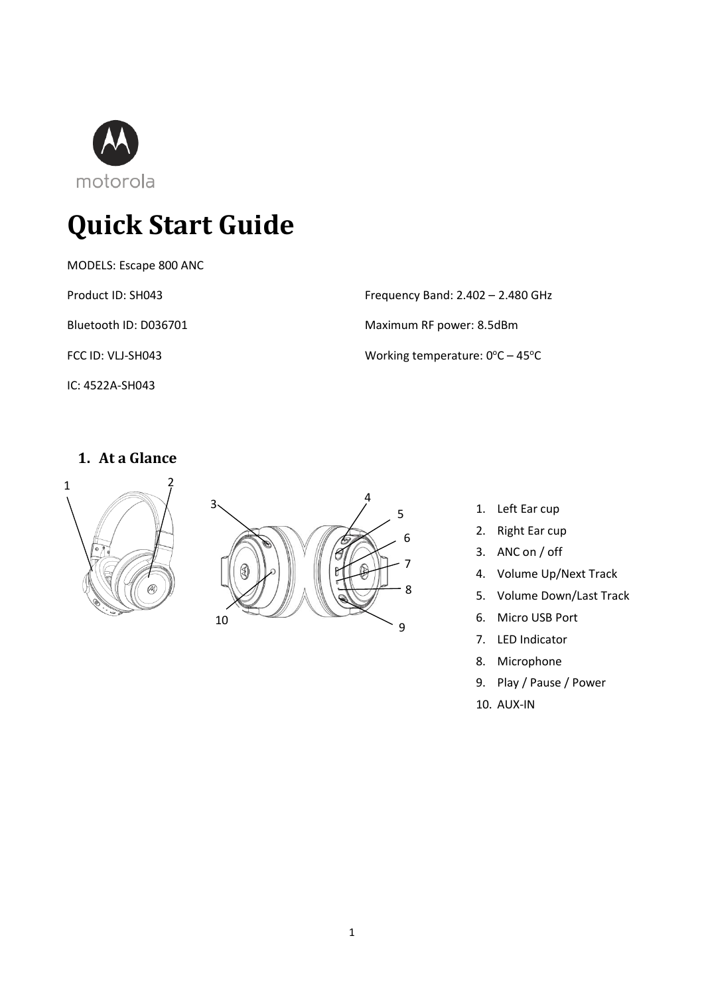

# **Quick Start Guide**

MODELS: Escape 800 ANC

Product ID: SH043

Bluetooth ID: D036701

FCC ID: VLJ-SH043

IC: 4522A-SH043

Frequency Band: 2.402 – 2.480 GHz Maximum RF power: 8.5dBm Working temperature:  $0^{\circ}$ C – 45 $^{\circ}$ C

# **1. At a Glance**





- 1. Left Ear cup
- 2. Right Ear cup
- 3. ANC on / off
- 4. Volume Up/Next Track
- 5. Volume Down/Last Track
- 6. Micro USB Port
- 7. LED Indicator
- 8. Microphone
- 9. Play / Pause / Power
- 10. AUX-IN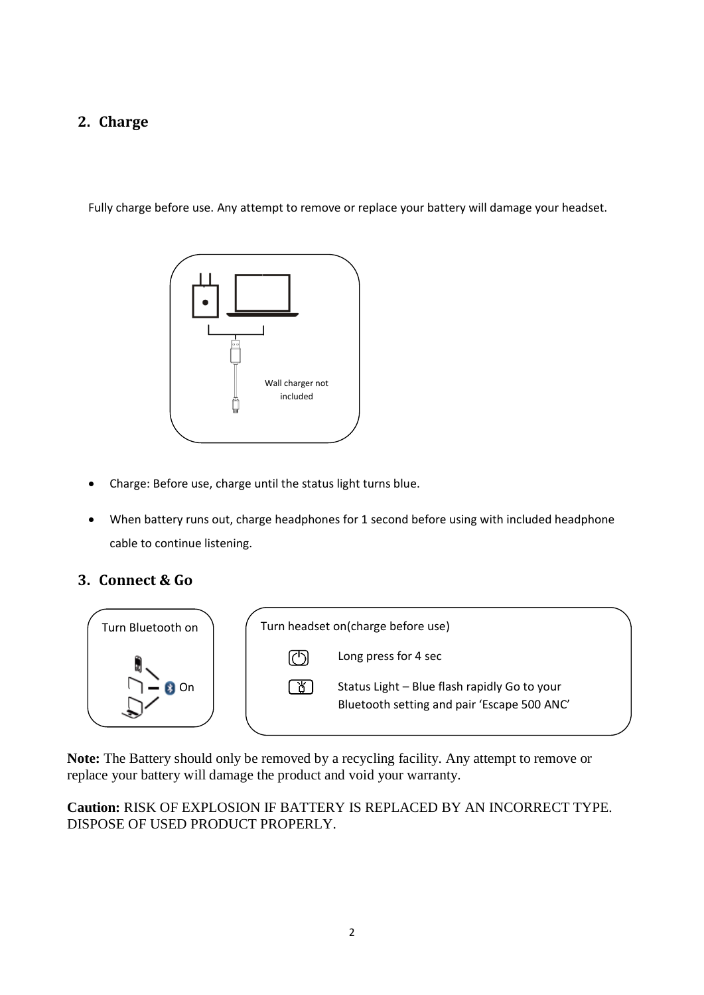# **2. Charge**

Fully charge before use. Any attempt to remove or replace your battery will damage your headset.



- Charge: Before use, charge until the status light turns blue.
- When battery runs out, charge headphones for 1 second before using with included headphone cable to continue listening.

#### **3. Connect & Go**

![](_page_1_Figure_6.jpeg)

**Note:** The Battery should only be removed by a recycling facility. Any attempt to remove or replace your battery will damage the product and void your warranty.

**Caution:** RISK OF EXPLOSION IF BATTERY IS REPLACED BY AN INCORRECT TYPE. DISPOSE OF USED PRODUCT PROPERLY.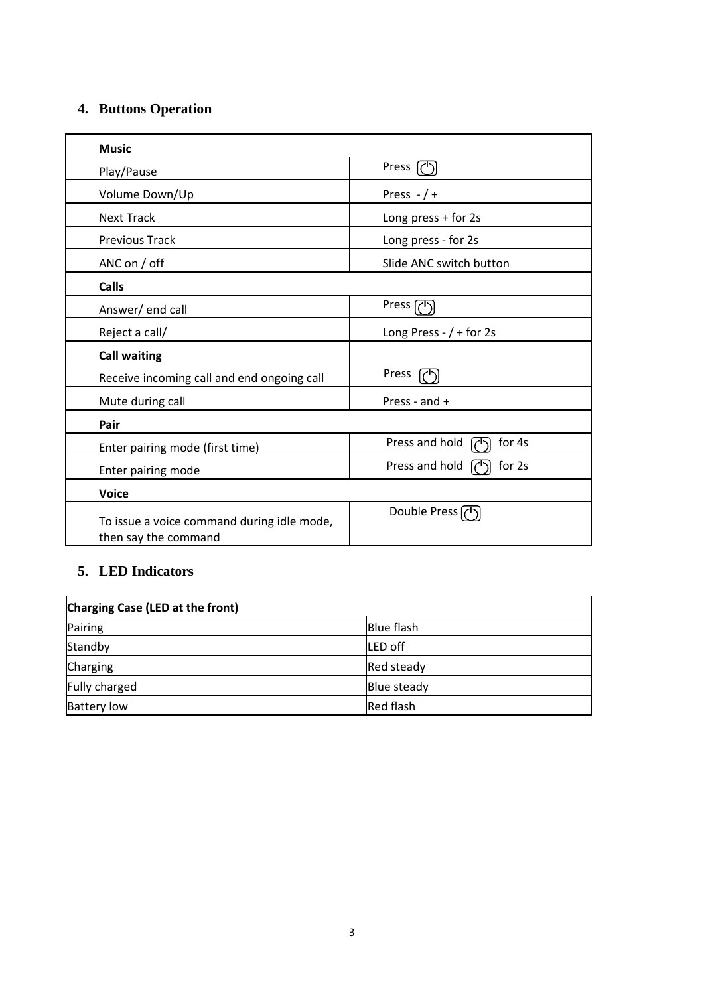## **4. Buttons Operation**

| <b>Music</b>                                                       |                                     |
|--------------------------------------------------------------------|-------------------------------------|
| Play/Pause                                                         | Press $(')$                         |
| Volume Down/Up                                                     | Press $-$ / +                       |
| <b>Next Track</b>                                                  | Long press + for 2s                 |
| <b>Previous Track</b>                                              | Long press - for 2s                 |
| ANC on / off                                                       | Slide ANC switch button             |
| <b>Calls</b>                                                       |                                     |
| Answer/end call                                                    | Press (7                            |
| Reject a call/                                                     | Long Press - $/ +$ for 2s           |
| <b>Call waiting</b>                                                |                                     |
| Receive incoming call and end ongoing call                         | Press<br>$\mathcal{C}^{\mathsf{I}}$ |
| Mute during call                                                   | Press - and +                       |
| Pair                                                               |                                     |
| Enter pairing mode (first time)                                    | Press and hold<br>for 4s            |
| Enter pairing mode                                                 | Press and hold<br>for 2s            |
| <b>Voice</b>                                                       |                                     |
| To issue a voice command during idle mode,<br>then say the command | Double Press (1)                    |

# **5. LED Indicators**

| Charging Case (LED at the front) |                   |
|----------------------------------|-------------------|
| Pairing                          | <b>Blue flash</b> |
| Standby                          | LED off           |
| Charging                         | Red steady        |
| Fully charged                    | Blue steady       |
| <b>Battery low</b>               | Red flash         |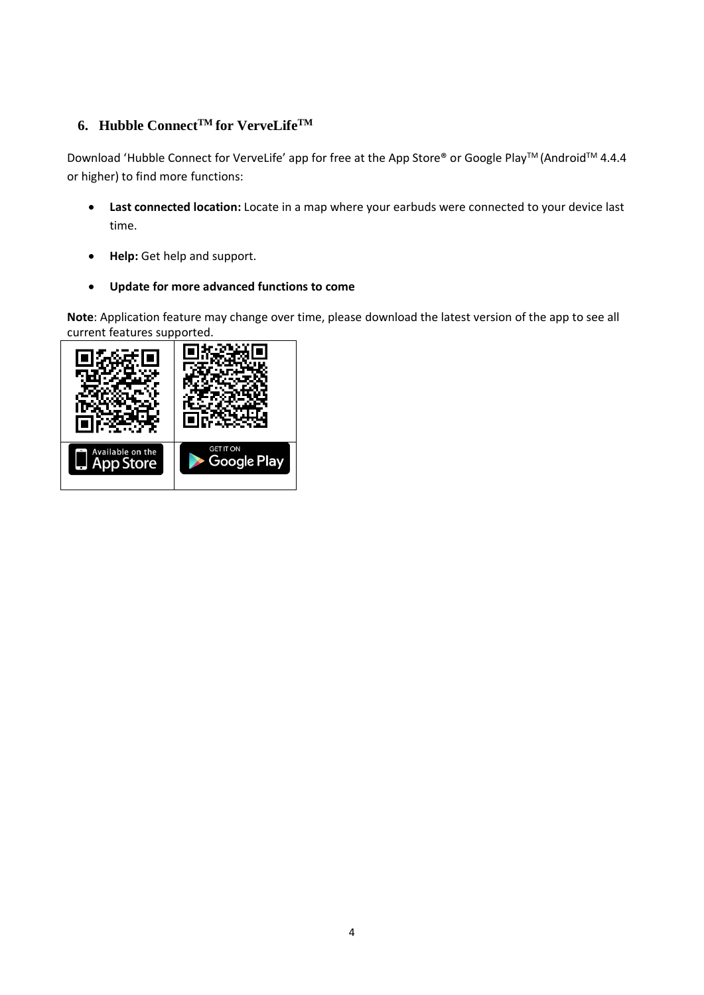#### **6. Hubble ConnectTM for VerveLifeTM**

Download 'Hubble Connect for VerveLife' app for free at the App Store® or Google Play™ (Android™ 4.4.4 or higher) to find more functions:

- **Last connected location:** Locate in a map where your earbuds were connected to your device last time.
- **Help:** Get help and support.
- **Update for more advanced functions to come**

**Note**: Application feature may change over time, please download the latest version of the app to see all current features supported.

![](_page_3_Picture_6.jpeg)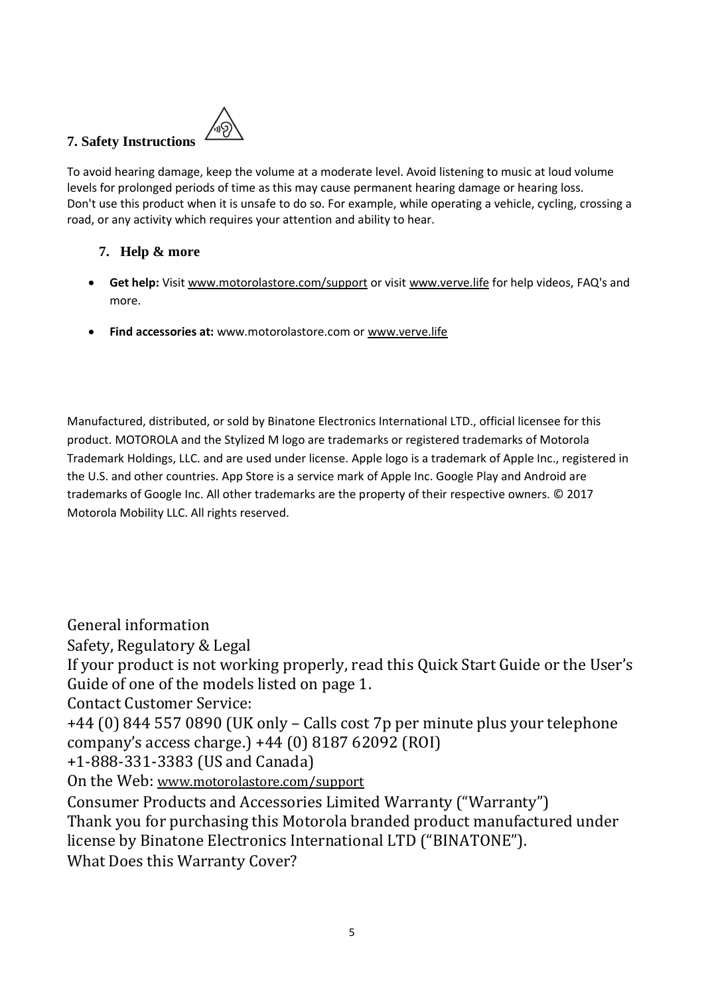## **7. Safety Instructions**

![](_page_4_Picture_1.jpeg)

To avoid hearing damage, keep the volume at a moderate level. Avoid listening to music at loud volume levels for prolonged periods of time as this may cause permanent hearing damage or hearing loss. Don't use this product when it is unsafe to do so. For example, while operating a vehicle, cycling, crossing a road, or any activity which requires your attention and ability to hear.

#### **7. Help & more**

- **Get help:** Visit [www.motorolastore.com/support](http://www.motorolastore.com/support) or visit [www.verve.life](http://www.verve.life/) for help videos, FAQ's and more.
- **Find accessories at:** www.motorolastore.com or [www.verve.life](http://www.verve.life/)

Manufactured, distributed, or sold by Binatone Electronics International LTD., official licensee for this product. MOTOROLA and the Stylized M logo are trademarks or registered trademarks of Motorola Trademark Holdings, LLC. and are used under license. Apple logo is a trademark of Apple Inc., registered in the U.S. and other countries. App Store is a service mark of Apple Inc. Google Play and Android are trademarks of Google Inc. All other trademarks are the property of their respective owners. © 2017 Motorola Mobility LLC. All rights reserved.

General information

Safety, Regulatory & Legal

If your product is not working properly, read this Quick Start Guide or the User's Guide of one of the models listed on page 1.

Contact Customer Service:

+44 (0) 844 557 0890 (UK only – Calls cost 7p per minute plus your telephone company's access charge.) +44 (0) 8187 62092 (ROI)

+1-888-331-3383 (US and Canada)

On the Web: [www.motorolastore.com/support](http://www.motorolastore.com/support)

Consumer Products and Accessories Limited Warranty ("Warranty") Thank you for purchasing this Motorola branded product manufactured under license by Binatone Electronics International LTD ("BINATONE").

What Does this Warranty Cover?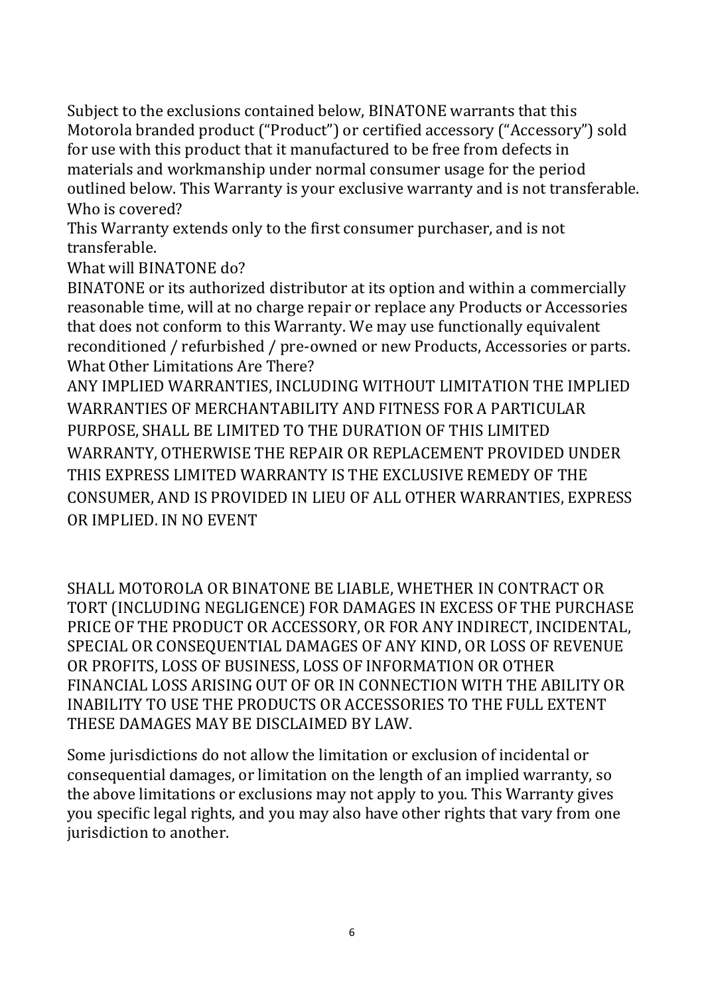Subject to the exclusions contained below, BINATONE warrants that this Motorola branded product ("Product") or certified accessory ("Accessory") sold for use with this product that it manufactured to be free from defects in materials and workmanship under normal consumer usage for the period outlined below. This Warranty is your exclusive warranty and is not transferable. Who is covered?

This Warranty extends only to the first consumer purchaser, and is not transferable.

What will BINATONE do?

BINATONE or its authorized distributor at its option and within a commercially reasonable time, will at no charge repair or replace any Products or Accessories that does not conform to this Warranty. We may use functionally equivalent reconditioned / refurbished / pre-owned or new Products, Accessories or parts. What Other Limitations Are There?

ANY IMPLIED WARRANTIES, INCLUDING WITHOUT LIMITATION THE IMPLIED WARRANTIES OF MERCHANTABILITY AND FITNESS FOR A PARTICULAR PURPOSE, SHALL BE LIMITED TO THE DURATION OF THIS LIMITED WARRANTY, OTHERWISE THE REPAIR OR REPLACEMENT PROVIDED UNDER THIS EXPRESS LIMITED WARRANTY IS THE EXCLUSIVE REMEDY OF THE CONSUMER, AND IS PROVIDED IN LIEU OF ALL OTHER WARRANTIES, EXPRESS OR IMPLIED. IN NO EVENT

SHALL MOTOROLA OR BINATONE BE LIABLE, WHETHER IN CONTRACT OR TORT (INCLUDING NEGLIGENCE) FOR DAMAGES IN EXCESS OF THE PURCHASE PRICE OF THE PRODUCT OR ACCESSORY, OR FOR ANY INDIRECT, INCIDENTAL, SPECIAL OR CONSEQUENTIAL DAMAGES OF ANY KIND, OR LOSS OF REVENUE OR PROFITS, LOSS OF BUSINESS, LOSS OF INFORMATION OR OTHER FINANCIAL LOSS ARISING OUT OF OR IN CONNECTION WITH THE ABILITY OR INABILITY TO USE THE PRODUCTS OR ACCESSORIES TO THE FULL EXTENT THESE DAMAGES MAY BE DISCLAIMED BY LAW.

Some jurisdictions do not allow the limitation or exclusion of incidental or consequential damages, or limitation on the length of an implied warranty, so the above limitations or exclusions may not apply to you. This Warranty gives you specific legal rights, and you may also have other rights that vary from one jurisdiction to another.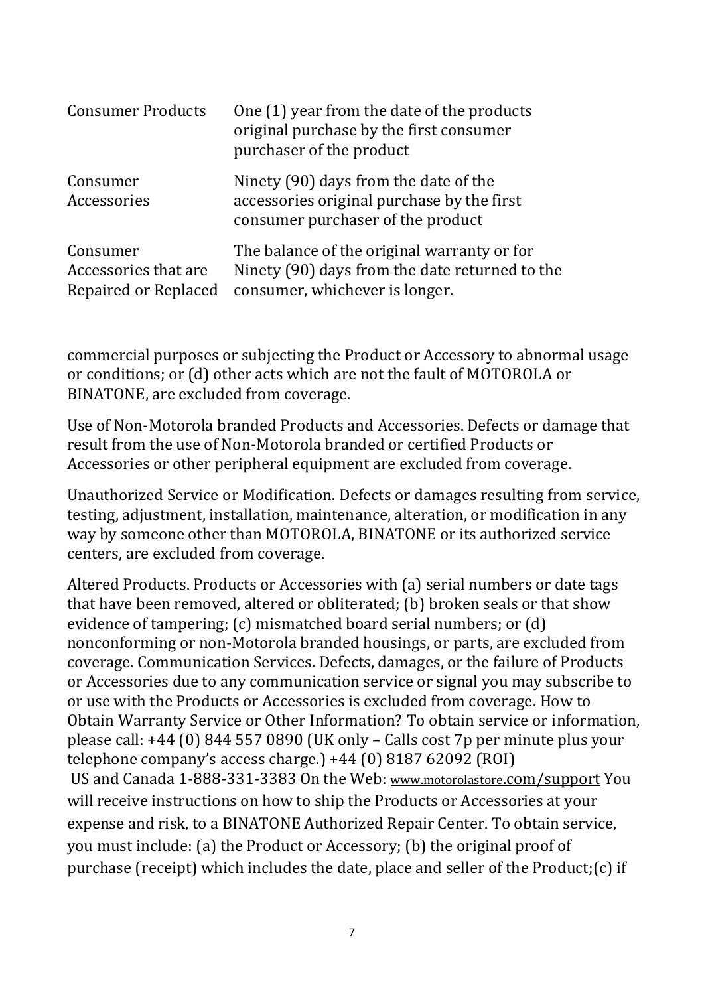| <b>Consumer Products</b>                                 | One (1) year from the date of the products<br>original purchase by the first consumer<br>purchaser of the product               |
|----------------------------------------------------------|---------------------------------------------------------------------------------------------------------------------------------|
| Consumer<br>Accessories                                  | Ninety (90) days from the date of the<br>accessories original purchase by the first<br>consumer purchaser of the product        |
| Consumer<br>Accessories that are<br>Repaired or Replaced | The balance of the original warranty or for<br>Ninety (90) days from the date returned to the<br>consumer, whichever is longer. |

commercial purposes or subjecting the Product or Accessory to abnormal usage or conditions; or (d) other acts which are not the fault of MOTOROLA or BINATONE, are excluded from coverage.

Use of Non-Motorola branded Products and Accessories. Defects or damage that result from the use of Non-Motorola branded or certified Products or Accessories or other peripheral equipment are excluded from coverage.

Unauthorized Service or Modification. Defects or damages resulting from service, testing, adjustment, installation, maintenance, alteration, or modification in any way by someone other than MOTOROLA, BINATONE or its authorized service centers, are excluded from coverage.

Altered Products. Products or Accessories with (a) serial numbers or date tags that have been removed, altered or obliterated; (b) broken seals or that show evidence of tampering; (c) mismatched board serial numbers; or (d) nonconforming or non-Motorola branded housings, or parts, are excluded from coverage. Communication Services. Defects, damages, or the failure of Products or Accessories due to any communication service or signal you may subscribe to or use with the Products or Accessories is excluded from coverage. How to Obtain Warranty Service or Other Information? To obtain service or information, please call: +44 (0) 844 557 0890 (UK only – Calls cost 7p per minute plus your telephone company's access charge.) +44 (0) 8187 62092 (ROI) US and Canada 1-888-331-3383 On the Web: www.motorolastore[.com/support](http://www.motorolastore.com/support) You will receive instructions on how to ship the Products or Accessories at your expense and risk, to a BINATONE Authorized Repair Center. To obtain service, you must include: (a) the Product or Accessory; (b) the original proof of purchase (receipt) which includes the date, place and seller of the Product;(c) if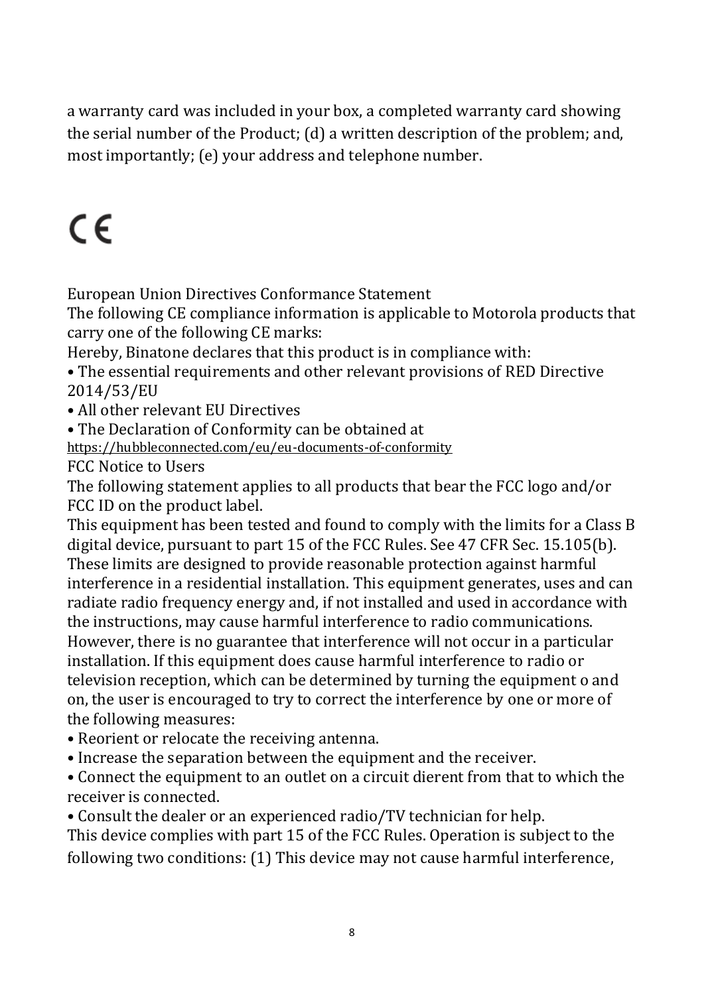a warranty card was included in your box, a completed warranty card showing the serial number of the Product; (d) a written description of the problem; and, most importantly; (e) your address and telephone number.

# $\epsilon$

European Union Directives Conformance Statement

The following CE compliance information is applicable to Motorola products that carry one of the following CE marks:

Hereby, Binatone declares that this product is in compliance with:

• The essential requirements and other relevant provisions of RED Directive 2014/53/EU

• All other relevant EU Directives

• The Declaration of Conformity can be obtained at

<https://hubbleconnected.com/eu/eu-documents-of-conformity>

FCC Notice to Users

The following statement applies to all products that bear the FCC logo and/or FCC ID on the product label.

This equipment has been tested and found to comply with the limits for a Class B digital device, pursuant to part 15 of the FCC Rules. See 47 CFR Sec. 15.105(b). These limits are designed to provide reasonable protection against harmful interference in a residential installation. This equipment generates, uses and can radiate radio frequency energy and, if not installed and used in accordance with the instructions, may cause harmful interference to radio communications. However, there is no guarantee that interference will not occur in a particular installation. If this equipment does cause harmful interference to radio or television reception, which can be determined by turning the equipment o and on, the user is encouraged to try to correct the interference by one or more of the following measures:

- Reorient or relocate the receiving antenna.
- Increase the separation between the equipment and the receiver.

• Connect the equipment to an outlet on a circuit dierent from that to which the receiver is connected.

• Consult the dealer or an experienced radio/TV technician for help.

This device complies with part 15 of the FCC Rules. Operation is subject to the following two conditions: (1) This device may not cause harmful interference,